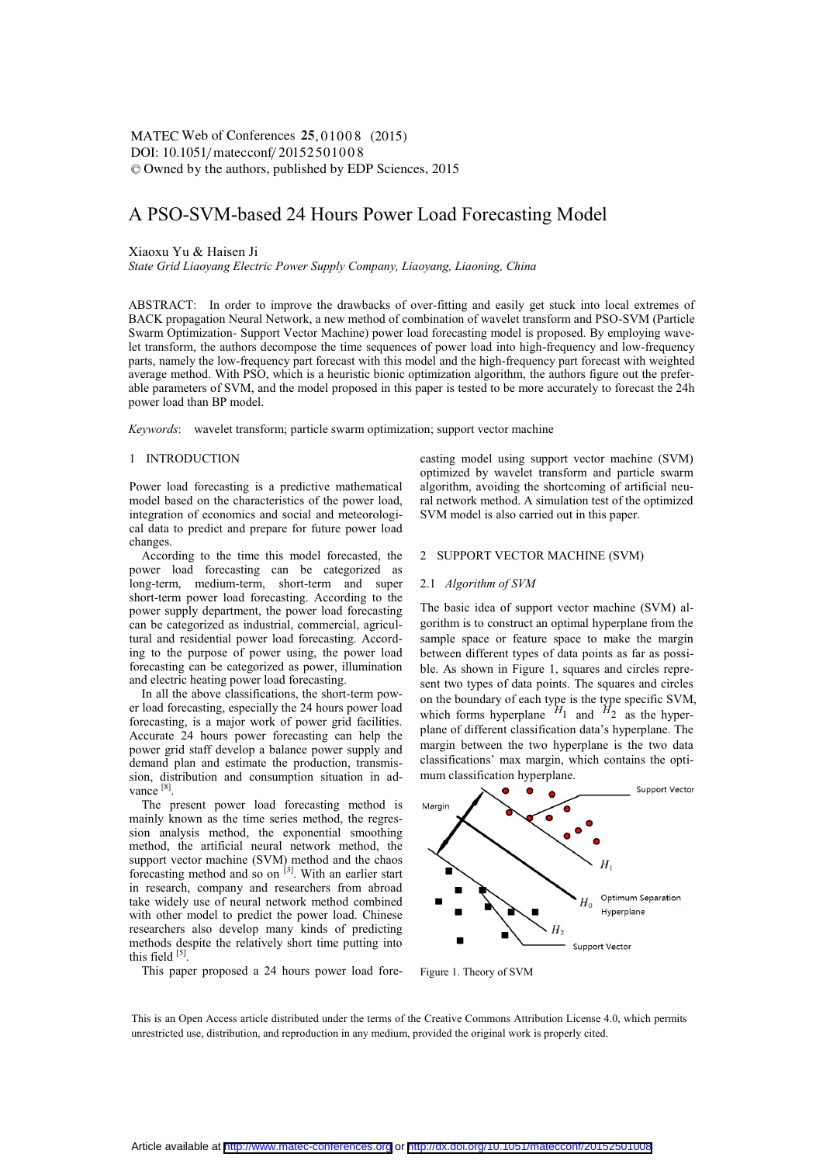DOI: 10.1051/matecconf/20152501008 -<sup>C</sup> Owned by the authors, published by EDP Sciences, 2015 MATEC Web of Conferences 25,01008 (2015)

# A PSO-SVM-based 24 Hours Power Load Forecasting Model

Xiaoxu Yu & Haisen Ji

*State Grid Liaoyang Electric Power Supply Company, Liaoyang, Liaoning, China* 

ABSTRACT: In order to improve the drawbacks of over-fitting and easily get stuck into local extremes of BACK propagation Neural Network, a new method of combination of wavelet transform and PSO-SVM (Particle Swarm Optimization- Support Vector Machine) power load forecasting model is proposed. By employing wavelet transform, the authors decompose the time sequences of power load into high-frequency and low-frequency parts, namely the low-frequency part forecast with this model and the high-frequency part forecast with weighted average method. With PSO, which is a heuristic bionic optimization algorithm, the authors figure out the preferable parameters of SVM, and the model proposed in this paper is tested to be more accurately to forecast the 24h power load than BP model.

*Keywords*: wavelet transform; particle swarm optimization; support vector machine

# 1 INTRODUCTION

Power load forecasting is a predictive mathematical model based on the characteristics of the power load, integration of economics and social and meteorological data to predict and prepare for future power load changes.

According to the time this model forecasted, the power load forecasting can be categorized as long-term, medium-term, short-term and super short-term power load forecasting. According to the power supply department, the power load forecasting can be categorized as industrial, commercial, agricultural and residential power load forecasting. According to the purpose of power using, the power load forecasting can be categorized as power, illumination and electric heating power load forecasting.

In all the above classifications, the short-term power load forecasting, especially the 24 hours power load forecasting, is a major work of power grid facilities. Accurate 24 hours power forecasting can help the power grid staff develop a balance power supply and demand plan and estimate the production, transmission, distribution and consumption situation in advance [8].

The present power load forecasting method is mainly known as the time series method, the regression analysis method, the exponential smoothing method, the artificial neural network method, the support vector machine (SVM) method and the chaos forecasting method and so on  $[3]$ . With an earlier start in research, company and researchers from abroad take widely use of neural network method combined with other model to predict the power load. Chinese researchers also develop many kinds of predicting methods despite the relatively short time putting into this field [5].

This paper proposed a 24 hours power load fore-

casting model using support vector machine (SVM) optimized by wavelet transform and particle swarm algorithm, avoiding the shortcoming of artificial neural network method. A simulation test of the optimized SVM model is also carried out in this paper.

### 2 SUPPORT VECTOR MACHINE (SVM)

#### 2.1 *Algorithm of SVM*

The basic idea of support vector machine (SVM) algorithm is to construct an optimal hyperplane from the sample space or feature space to make the margin between different types of data points as far as possible. As shown in Figure 1, squares and circles represent two types of data points. The squares and circles on the boundary of each type is the type specific SVM, which forms hyperplane  $H_1$  and  $H_2$  as the hyperplane of different classification data's hyperplane. The margin between the two hyperplane is the two data classifications' max margin, which contains the optimum classification hyperplane.



Figure 1. Theory of SVM

This is an Open Access article distributed under the terms of the Creative Commons Attribution License 4.0, which permits unrestricted use, distribution, and reproduction in any medium, provided the original work is properly cited.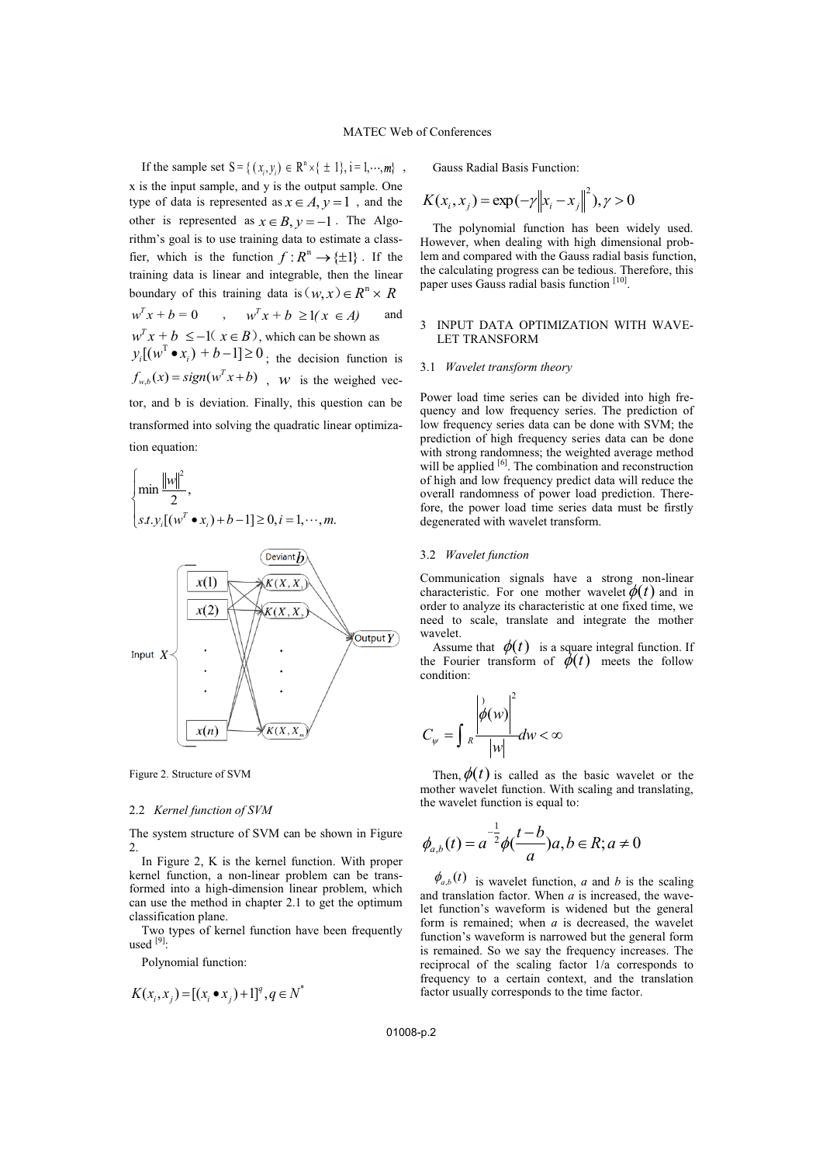If the sample set  $S = \{ (x_i, y_i) \in R^n \times \{ \pm 1\}, i = 1, \dots, m \}$ , x is the input sample, and y is the output sample. One type of data is represented as  $x \in A$ ,  $y = 1$ , and the other is represented as  $x \in B$ ,  $y = -1$ . The Algorithm's goal is to use training data to estimate a classfier, which is the function  $f: R^n \to \{\pm 1\}$ . If the training data is linear and integrable, then the linear boundary of this training data is  $(w, x) \in R^n \times R$  $w^{T} x + b = 0$ ,  $w^{T} x + b \ge 1$  *( x E A)* and  $w^T x + b \le -1$  ( $x \in B$ ), which can be shown as  $y_i[(w^T \bullet x_i) + b - 1] \ge 0$ ; the decision function is  $f_{w,b}(x) = sign(w^T x + b)$ , *w* is the weighed vector, and b is deviation. Finally, this question can be transformed into solving the quadratic linear optimization equation:

$$
\begin{cases}\n\min \frac{\|w\|^2}{2},\\ \nst.y_i[(w^T \bullet x_i) + b - 1] \ge 0, i = 1, \cdots, m.\n\end{cases}
$$



Figure 2. Structure of SVM

### 2.2 *Kernel function of SVM*

The system structure of SVM can be shown in Figure 2.

In Figure 2, K is the kernel function. With proper kernel function, a non-linear problem can be transformed into a high-dimension linear problem, which can use the method in chapter 2.1 to get the optimum classification plane.

Two types of kernel function have been frequently used [9]:

Polynomial function:

$$
K(x_i, x_j) = [(x_i \bullet x_j) + 1]^q, q \in N^*
$$

Gauss Radial Basis Function:

$$
K(x_i, x_j) = \exp(-\gamma \|x_i - x_j\|^2), \gamma > 0
$$

The polynomial function has been widely used. However, when dealing with high dimensional problem and compared with the Gauss radial basis function, the calculating progress can be tedious. Therefore, this paper uses Gauss radial basis function [10].

### 3 INPUT DATA OPTIMIZATION WITH WAVE-LET TRANSFORM

# 3.1 *Wavelet transform theory*

Power load time series can be divided into high frequency and low frequency series. The prediction of low frequency series data can be done with SVM; the prediction of high frequency series data can be done with strong randomness; the weighted average method will be applied <sup>[6]</sup>. The combination and reconstruction of high and low frequency predict data will reduce the overall randomness of power load prediction. Therefore, the power load time series data must be firstly degenerated with wavelet transform.

# 3.2 *Wavelet function*

Communication signals have a strong non-linear characteristic. For one mother wavelet  $\phi(t)$  and in order to analyze its characteristic at one fixed time, we need to scale, translate and integrate the mother wavelet.

Assume that  $\phi(t)$  is a square integral function. If the Fourier transform of  $\dot{\phi}(t)$  meets the follow condition:

$$
C_{\psi} = \int_{R} \frac{\left|\stackrel{\backslash}{\phi}(w)\right|^{2}}{|w|} dw < \infty
$$

Then,  $\phi(t)$  is called as the basic wavelet or the mother wavelet function. With scaling and translating, the wavelet function is equal to:

$$
\phi_{a,b}(t) = a^{-\frac{1}{2}} \phi(\frac{t-b}{a}) a, b \in R; a \neq 0
$$

 $\phi_{a,b}(t)$  is wavelet function, *a* and *b* is the scaling and translation factor. When *a* is increased, the wavelet function's waveform is widened but the general form is remained; when *a* is decreased, the wavelet function's waveform is narrowed but the general form is remained. So we say the frequency increases. The reciprocal of the scaling factor 1/a corresponds to frequency to a certain context, and the translation factor usually corresponds to the time factor.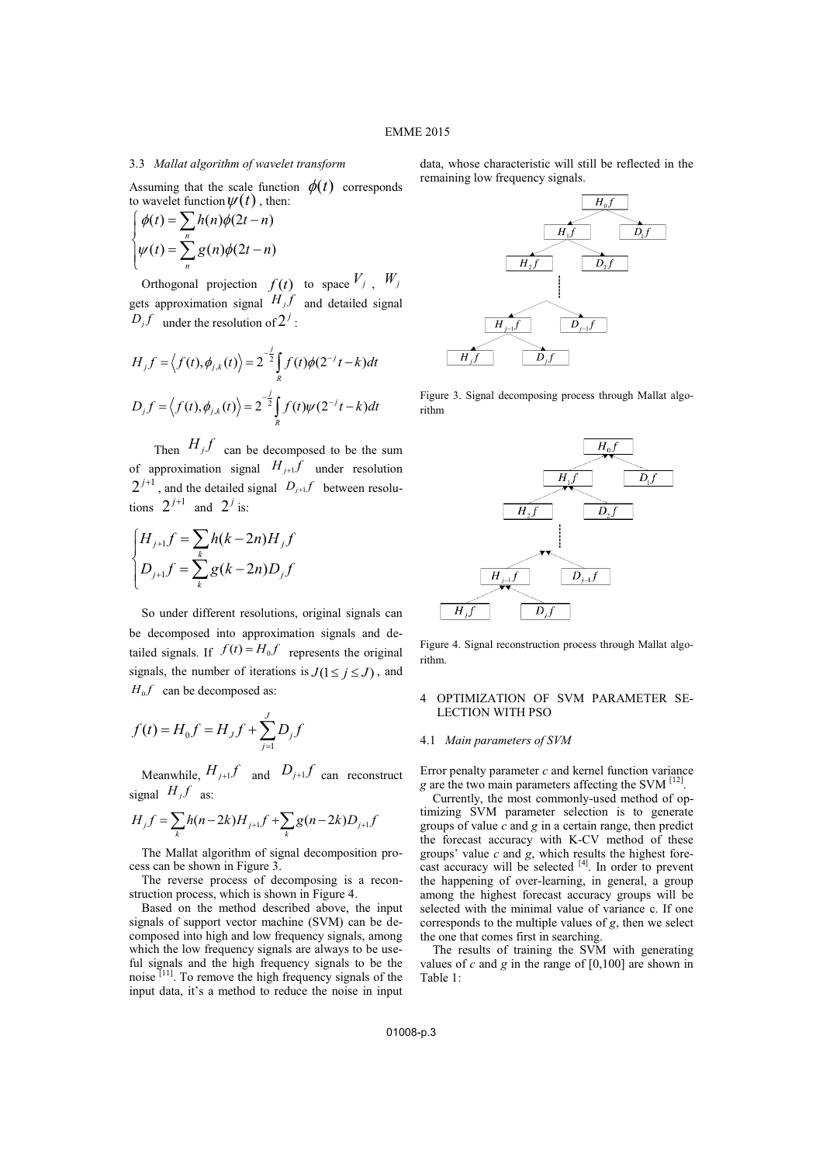# 3.3 *Mallat algorithm of wavelet transform*

Assuming that the scale function  $\phi(t)$  corresponds to wavelet function  $\psi(t)$ , then:

$$
\begin{cases}\n\phi(t) = \sum_{n} h(n)\phi(2t - n) \\
\psi(t) = \sum_{n} g(n)\phi(2t - n)\n\end{cases}
$$

Orthogonal projection  $f(t)$  to space  $V_j$ ,  $W_j$ gets approximation signal  $H_j f$  and detailed signal  $D_i f$  under the resolution of  $2^j$ :

$$
H_j f = \left\langle f(t), \phi_{j,k}(t) \right\rangle = 2^{-\frac{j}{2}} \int_R f(t) \phi(2^{-j}t - k) dt
$$
  

$$
D_j f = \left\langle f(t), \phi_{j,k}(t) \right\rangle = 2^{-\frac{j}{2}} \int_R f(t) \psi(2^{-j}t - k) dt
$$

Then  $H_j f$  can be decomposed to be the sum of approximation signal  $H_{j+1}f$  under resolution  $2^{j+1}$ , and the detailed signal  $D_{j+1}f$  between resolutions  $2^{j+1}$  and  $2^j$  is:

$$
\begin{cases} H_{j+1}f = \sum_{k} h(k-2n)H_{j}f \\ D_{j+1}f = \sum_{k} g(k-2n)D_{j}f \end{cases}
$$

So under different resolutions, original signals can be decomposed into approximation signals and detailed signals. If  $f(t) = H_0 f$  represents the original signals, the number of iterations is  $J(1 \le i \le J)$ , and  $H_0 f$  can be decomposed as:

$$
f(t) = H_0 f = H_J f + \sum_{j=1}^{J} D_j f
$$

Meanwhile,  $H_{j+1}f$  and  $D_{j+1}f$  can reconstruct signal  $H_j f$  as:

$$
H_j f = \sum_k h(n-2k) H_{j+1} f + \sum_k g(n-2k) D_{j+1} f
$$

The Mallat algorithm of signal decomposition process can be shown in Figure 3.

The reverse process of decomposing is a reconstruction process, which is shown in Figure 4.

Based on the method described above, the input signals of support vector machine (SVM) can be decomposed into high and low frequency signals, among which the low frequency signals are always to be useful signals and the high frequency signals to be the noise  $\frac{1}{111}$ . To remove the high frequency signals of the input data, it's a method to reduce the noise in input

data, whose characteristic will still be reflected in the remaining low frequency signals.



Figure 3. Signal decomposing process through Mallat algorithm



Figure 4. Signal reconstruction process through Mallat algorithm.

## 4 OPTIMIZATION OF SVM PARAMETER SE-LECTION WITH PSO

#### 4.1 *Main parameters of SVM*

Error penalty parameter *c* and kernel function variance *g* are the two main parameters affecting the SVM [12].

Currently, the most commonly-used method of optimizing SVM parameter selection is to generate groups of value *c* and *g* in a certain range, then predict the forecast accuracy with K-CV method of these groups' value *c* and *g*, which results the highest forecast accuracy will be selected  $[4]$ . In order to prevent the happening of over-learning, in general, a group among the highest forecast accuracy groups will be selected with the minimal value of variance c. If one corresponds to the multiple values of *g*, then we select the one that comes first in searching.

The results of training the SVM with generating values of *c* and *g* in the range of [0,100] are shown in Table 1:

01008-p.3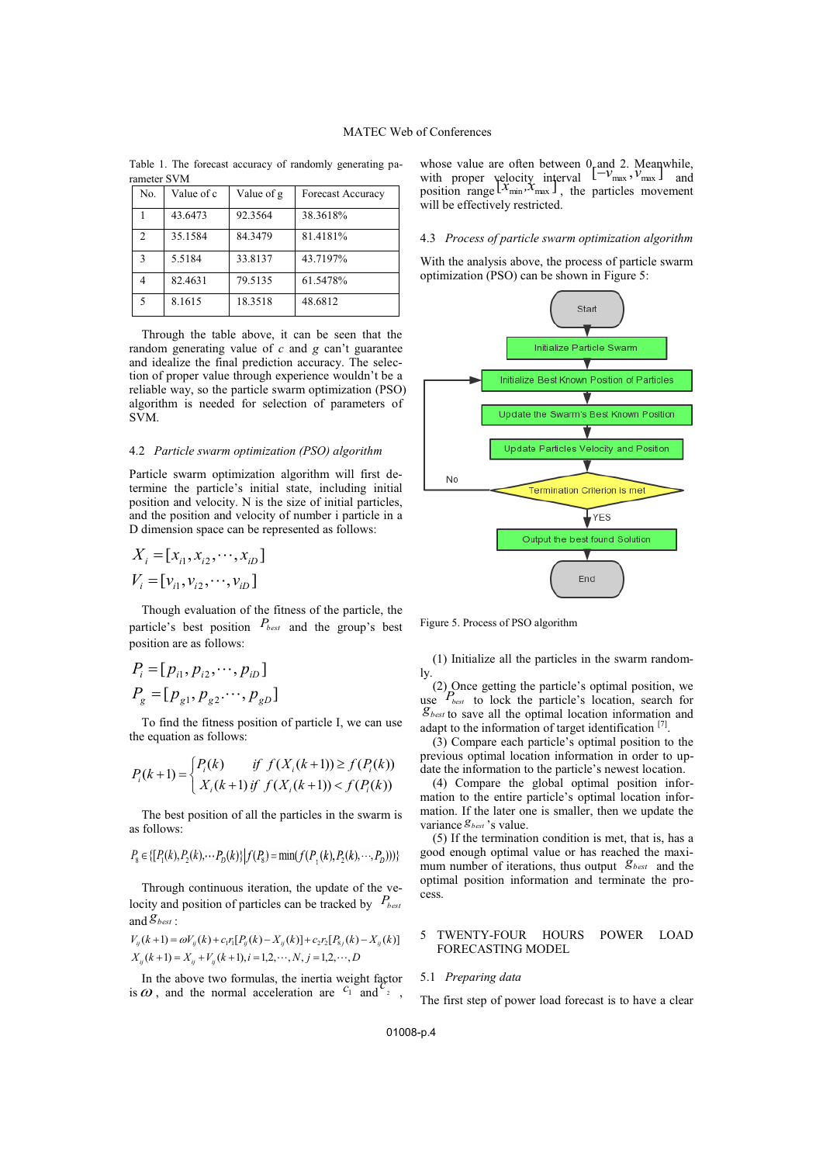Table 1. The forecast accuracy of randomly generating parameter SVM

| No. | Value of c | Value of g | <b>Forecast Accuracy</b> |
|-----|------------|------------|--------------------------|
|     | 43.6473    | 92.3564    | 38.3618%                 |
| 2   | 35.1584    | 84.3479    | 81.4181%                 |
| 3   | 5.5184     | 33.8137    | 43.7197%                 |
| 4   | 82.4631    | 79.5135    | 61.5478%                 |
| 5   | 8.1615     | 18.3518    | 48.6812                  |
|     |            |            |                          |

Through the table above, it can be seen that the random generating value of *c* and *g* can't guarantee and idealize the final prediction accuracy. The selection of proper value through experience wouldn't be a reliable way, so the particle swarm optimization (PSO) algorithm is needed for selection of parameters of SVM.

#### 4.2 *Particle swarm optimization (PSO) algorithm*

Particle swarm optimization algorithm will first determine the particle's initial state, including initial position and velocity. N is the size of initial particles, and the position and velocity of number i particle in a D dimension space can be represented as follows:

$$
X_i = [x_{i1}, x_{i2}, \cdots, x_{iD}]
$$
  

$$
V_i = [v_{i1}, v_{i2}, \cdots, v_{iD}]
$$

Though evaluation of the fitness of the particle, the particle's best position  $P_{best}$  and the group's best position are as follows:

$$
P_i = [p_{i1}, p_{i2}, \cdots, p_{iD}]
$$
  

$$
P_g = [p_{g1}, p_{g2}, \cdots, p_{gD}]
$$

To find the fitness position of particle I, we can use the equation as follows:

$$
P_i(k+1) = \begin{cases} P_i(k) & \text{if } f(X_i(k+1)) \ge f(P_i(k)) \\ X_i(k+1) & \text{if } f(X_i(k+1)) < f(P_i(k)) \end{cases}
$$

The best position of all the particles in the swarm is as follows:

$$
P_8 \in \{ [P_1(k), P_2(k), \cdots P_D(k)] \} \{ f(P_8) = \min(f(P_1(k), P_2(k), \cdots, P_D)) ) \}
$$

Through continuous iteration, the update of the velocity and position of particles can be tracked by  $P_{best}$ and *gbest* :

$$
V_{ij}(k+1) = \omega V_{ij}(k) + c_1 r_1 [P_{ij}(k) - X_{ij}(k)] + c_2 r_2 [P_{8j}(k) - X_{ij}(k)]
$$
  

$$
X_{ij}(k+1) = X_{ij} + V_{ij}(k+1), i = 1, 2, \cdots, N, j = 1, 2, \cdots, D
$$

In the above two formulas, the inertia weight factor is  $\omega$ , and the normal acceleration are  $c_1$  and  $c_2$ 

whose value are often between 0 and 2. Meanwhile, with proper velocity interval  $\left[\begin{array}{cc} -\nu_{\text{max}} & \nu_{\text{max}} \end{array}\right]$  and position range  $\left[ x_{\min}, x_{\max} \right]$ , the particles movement will be effectively restricted.

### 4.3 *Process of particle swarm optimization algorithm*

With the analysis above, the process of particle swarm optimization (PSO) can be shown in Figure 5:



Figure 5. Process of PSO algorithm

(1) Initialize all the particles in the swarm randomly.

(2) Once getting the particle's optimal position, we use  $P_{best}$  to lock the particle's location, search for *gbest* to save all the optimal location information and adapt to the information of target identification [7].

(3) Compare each particle's optimal position to the previous optimal location information in order to update the information to the particle's newest location.

(4) Compare the global optimal position information to the entire particle's optimal location information. If the later one is smaller, then we update the variance *gbest* 's value.

(5) If the termination condition is met, that is, has a good enough optimal value or has reached the maximum number of iterations, thus output  $g_{best}$  and the optimal position information and terminate the process.

### 5 TWENTY-FOUR HOURS POWER LOAD FORECASTING MODEL

### 5.1 *Preparing data*

The first step of power load forecast is to have a clear

01008-p.4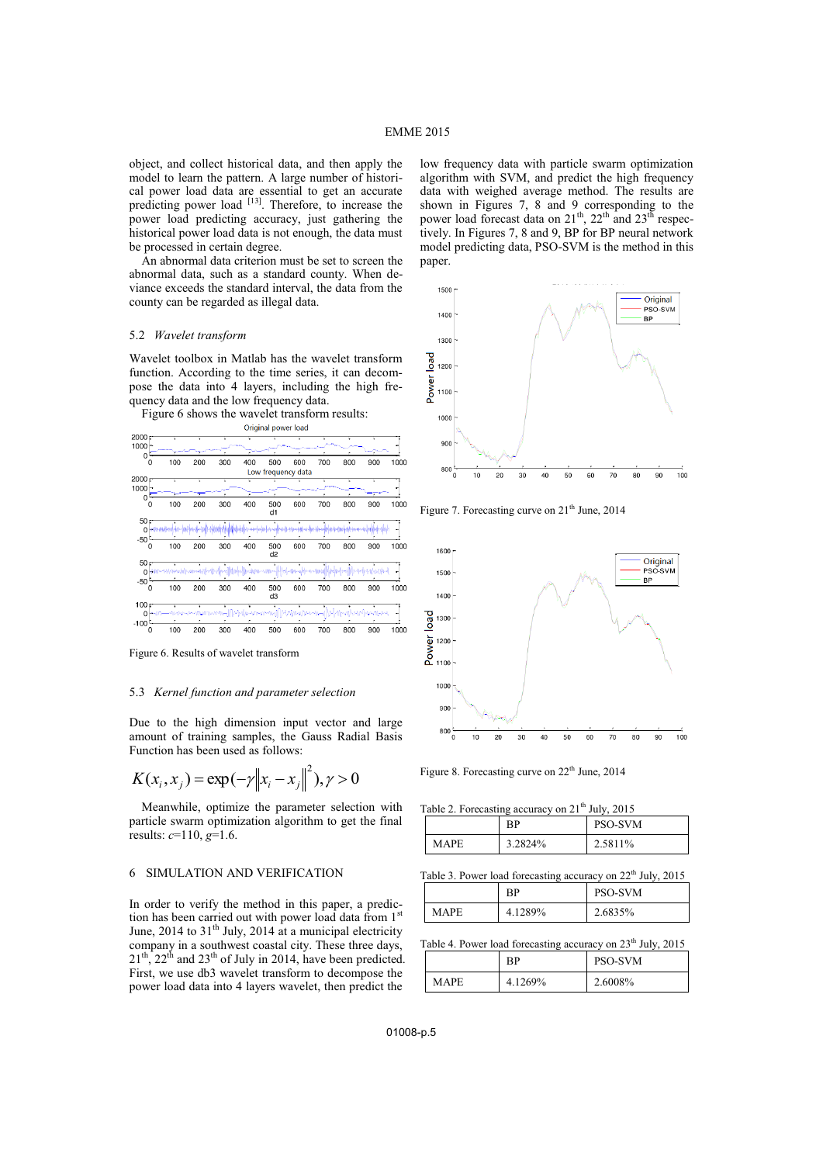object, and collect historical data, and then apply the model to learn the pattern. A large number of historical power load data are essential to get an accurate predicting power load  $\left[13\right]$ . Therefore, to increase the power load predicting accuracy, just gathering the historical power load data is not enough, the data must be processed in certain degree.

An abnormal data criterion must be set to screen the abnormal data, such as a standard county. When deviance exceeds the standard interval, the data from the county can be regarded as illegal data.

# 5.2 *Wavelet transform*

Wavelet toolbox in Matlab has the wavelet transform function. According to the time series, it can decompose the data into 4 layers, including the high frequency data and the low frequency data.

| Figure 6 shows the wavelet transform results: |  |  |  |
|-----------------------------------------------|--|--|--|
|-----------------------------------------------|--|--|--|



Figure 6. Results of wavelet transform

#### 5.3 *Kernel function and parameter selection*

Due to the high dimension input vector and large amount of training samples, the Gauss Radial Basis Function has been used as follows:

$$
K(x_i, x_j) = \exp(-\gamma \|x_i - x_j\|^2), \gamma > 0
$$

Meanwhile, optimize the parameter selection with particle swarm optimization algorithm to get the final results: *c*=110, *g*=1.6.

# 6 SIMULATION AND VERIFICATION

In order to verify the method in this paper, a prediction has been carried out with power load data from 1<sup>st</sup> June, 2014 to  $31<sup>th</sup>$  July, 2014 at a municipal electricity company in a southwest coastal city. These three days,  $21<sup>th</sup>$ ,  $22<sup>th</sup>$  and  $23<sup>th</sup>$  of July in 2014, have been predicted. First, we use db3 wavelet transform to decompose the power load data into 4 layers wavelet, then predict the

low frequency data with particle swarm optimization algorithm with SVM, and predict the high frequency data with weighed average method. The results are shown in Figures 7, 8 and 9 corresponding to the power load forecast data on  $21^{th}$ ,  $22^{th}$  and  $23^{th}$  respectively. In Figures 7, 8 and 9, BP for BP neural network model predicting data, PSO-SVM is the method in this paper.



Figure 7. Forecasting curve on  $21<sup>th</sup>$  June, 2014



Figure 8. Forecasting curve on  $22<sup>th</sup>$  June, 2014

Table 2. Forecasting accuracy on 21<sup>th</sup> July, 2015

|      | DЪ      | <b>PSO-SVM</b> |
|------|---------|----------------|
| MAPF | 3.2824% | 5811%          |

Table 3. Power load forecasting accuracy on 22<sup>th</sup> July, 2015

|         |      | <b>PSO-SVM</b> |
|---------|------|----------------|
| M A PF. | 289% | 6835%          |

|              | Table 4. Power load forecasting accuracy on 23 <sup>th</sup> July, 2015 |
|--------------|-------------------------------------------------------------------------|
| $\mathbf{D}$ | $DCO$ $CVM$                                                             |

|             | ВP      | <b>PSO-SVM</b> |
|-------------|---------|----------------|
| <b>MAPE</b> | 4.1269% | 2.6008%        |